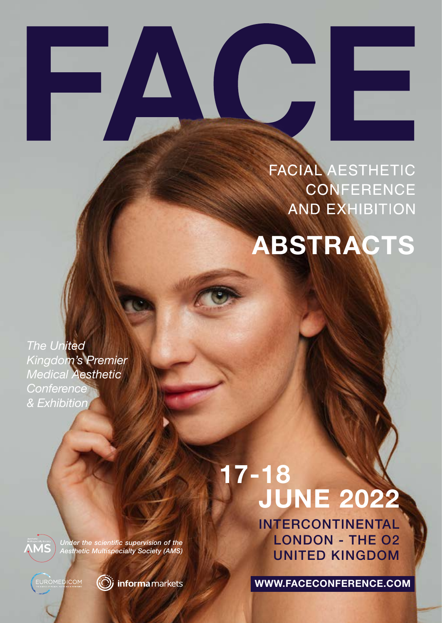# **FACIAL AESTHETIC CONFERENCE AND EXHIBITION**

**ABSTRACTS**

*The United Kingdom's Premier Medical Aesthetic Conference & Exhibition*

> *Under the scientific supervision of the Aesthetic Multispecialty Society (AMS)*

EUROMEDICOM



(ii) informa markets

 **17-18 JUNE 2022**

> INTERCONTINENTAL LONDON - THE O2 UNITED KINGDOM

**WWW.FACECONFERENCE.COM**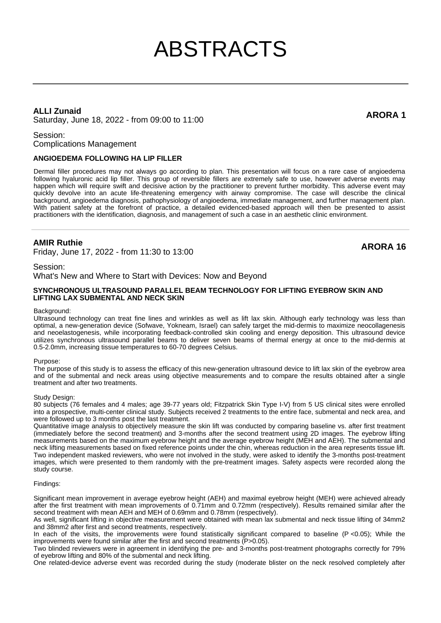# ABSTRACTS

# **ALLI Zunaid**

ALLI Zunaid<br>Saturday, June 18, 2022 - from 09:00 to 11:00

Session:

Complications Management

# **ANGIOEDEMA FOLLOWING HA LIP FILLER**

Dermal filler procedures may not always go according to plan. This presentation will focus on a rare case of angioedema following hyaluronic acid lip filler. This group of reversible fillers are extremely safe to use, however adverse events may happen which will require swift and decisive action by the practitioner to prevent further morbidity. This adverse event may quickly devolve into an acute life-threatening emergency with airway compromise. The case will describe the clinical background, angioedema diagnosis, pathophysiology of angioedema, immediate management, and further management plan. With patient safety at the forefront of practice, a detailed evidenced-based approach will then be presented to assist practitioners with the identification, diagnosis, and management of such a case in an aesthetic clinic environment.

# **AMIR Ruthie**

Friday, June 17, 2022 - from 11:30 to 13:00 **ARORA 16**

# Session:

What's New and Where to Start with Devices: Now and Beyond

#### **SYNCHRONOUS ULTRASOUND PARALLEL BEAM TECHNOLOGY FOR LIFTING EYEBROW SKIN AND LIFTING LAX SUBMENTAL AND NECK SKIN**

#### Background:

Ultrasound technology can treat fine lines and wrinkles as well as lift lax skin. Although early technology was less than optimal, a new-generation device (Sofwave, Yokneam, Israel) can safely target the mid-dermis to maximize neocollagenesis and neoelastogenesis, while incorporating feedback-controlled skin cooling and energy deposition. This ultrasound device utilizes synchronous ultrasound parallel beams to deliver seven beams of thermal energy at once to the mid-dermis at 0.5-2.0mm, increasing tissue temperatures to 60-70 degrees Celsius.

#### Purpose:

The purpose of this study is to assess the efficacy of this new-generation ultrasound device to lift lax skin of the eyebrow area and of the submental and neck areas using objective measurements and to compare the results obtained after a single treatment and after two treatments.

#### Study Design:

80 subjects (76 females and 4 males; age 39-77 years old; Fitzpatrick Skin Type I-V) from 5 US clinical sites were enrolled into a prospective, multi-center clinical study. Subjects received 2 treatments to the entire face, submental and neck area, and were followed up to 3 months post the last treatment.

Quantitative image analysis to objectively measure the skin lift was conducted by comparing baseline vs. after first treatment (immediately before the second treatment) and 3-months after the second treatment using 2D images. The eyebrow lifting measurements based on the maximum eyebrow height and the average eyebrow height (MEH and AEH). The submental and neck lifting measurements based on fixed reference points under the chin, whereas reduction in the area represents tissue lift. Two independent masked reviewers, who were not involved in the study, were asked to identify the 3-months post-treatment images, which were presented to them randomly with the pre-treatment images. Safety aspects were recorded along the study course.

#### Findings:

Significant mean improvement in average eyebrow height (AEH) and maximal eyebrow height (MEH) were achieved already after the first treatment with mean improvements of 0.71mm and 0.72mm (respectively). Results remained similar after the second treatment with mean AEH and MEH of 0.69mm and 0.78mm (respectively).

As well, significant lifting in objective measurement were obtained with mean lax submental and neck tissue lifting of 34mm2 and 38mm2 after first and second treatments, respectively.

In each of the visits, the improvements were found statistically significant compared to baseline (P <0.05); While the improvements were found similar after the first and second treatments (P>0.05).

Two blinded reviewers were in agreement in identifying the pre- and 3-months post-treatment photographs correctly for 79% of eyebrow lifting and 80% of the submental and neck lifting.

One related-device adverse event was recorded during the study (moderate blister on the neck resolved completely after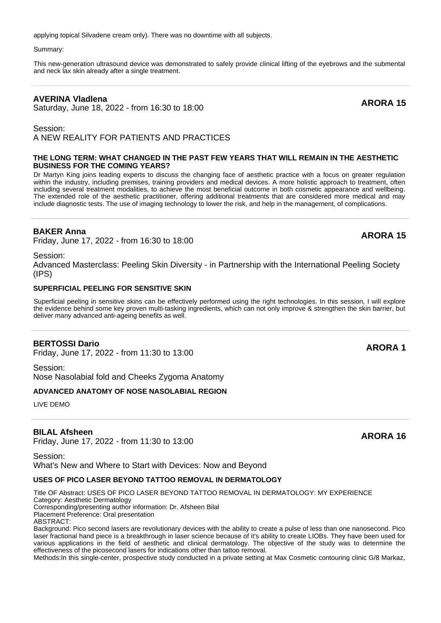applying topical Silvadene cream only). There was no downtime with all subjects.

Summary:

This new-generation ultrasound device was demonstrated to safely provide clinical lifting of the eyebrows and the submental and neck lax skin already after a single treatment.

# **AVERINA Vladlena**

AVERINA VIadiena<br>Saturday, June 18, 2022 - from 16:30 to 18:00 **ARORA 15** 

Session: A NEW REALITY FOR PATIENTS AND PRACTICES

# **THE LONG TERM: WHAT CHANGED IN THE PAST FEW YEARS THAT WILL REMAIN IN THE AESTHETIC BUSINESS FOR THE COMING YEARS?**

Dr Martyn King joins leading experts to discuss the changing face of aesthetic practice with a focus on greater regulation within the industry, including premises, training providers and medical devices. A more holistic approach to treatment, often including several treatment modalities, to achieve the most beneficial outcome in both cosmetic appearance and wellbeing. The extended role of the aesthetic practitioner, offering additional treatments that are considered more medical and may include diagnostic tests. The use of imaging technology to lower the risk, and help in the management, of complications.

# **BAKER Anna**

**BAKER Anna**<br>Friday, June 17, 2022 - from 16:30 to 18:00 **ARORA 15** 

Session:

Advanced Masterclass: Peeling Skin Diversity - in Partnership with the International Peeling Society (IPS)

# **SUPERFICIAL PEELING FOR SENSITIVE SKIN**

Superficial peeling in sensitive skins can be effectively performed using the right technologies. In this session, I will explore the evidence behind some key proven multi-tasking ingredients, which can not only improve & strengthen the skin barrier, but deliver many advanced anti-ageing benefits as well.

# **BERTOSSI Dario**

Friday, June 17, 2022 - from 11:30 to 13:00 **ARORA 1**

Session: Nose Nasolabial fold and Cheeks Zygoma Anatomy

# **ADVANCED ANATOMY OF NOSE NASOLABIAL REGION**

LIVE DEMO

# **BILAL Afsheen**

**BILAL Arsneen**<br>Friday, June 17, 2022 - from 11:30 to 13:00 **ARORA 16** 

Session: What's New and Where to Start with Devices: Now and Beyond

# **USES OF PICO LASER BEYOND TATTOO REMOVAL IN DERMATOLOGY**

Title OF Abstract: USES OF PICO LASER BEYOND TATTOO REMOVAL IN DERMATOLOGY: MY EXPERIENCE

Category: Aesthetic Dermatology

Corresponding/presenting author information: Dr. Afsheen Bilal

Placement Preference: Oral presentation

ABSTRACT:

Background: Pico second lasers are revolutionary devices with the ability to create a pulse of less than one nanosecond. Pico laser fractional hand piece is a breakthrough in laser science because of it's ability to create LIOBs. They have been used for various applications in the field of aesthetic and clinical dermatology. The objective of the study was to determine the effectiveness of the picosecond lasers for indications other than tattoo removal.

Methods:In this single-center, prospective study conducted in a private setting at Max Cosmetic contouring clinic G/8 Markaz,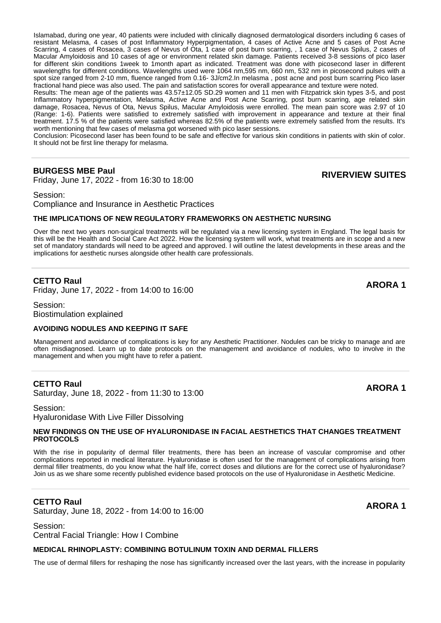Islamabad, during one year, 40 patients were included with clinically diagnosed dermatological disorders including 6 cases of resistant Melasma, 4 cases of post Inflammatory Hyperpigmentation, 4 cases of Active Acne and 5 cases of Post Acne Scarring, 4 cases of Rosacea, 3 cases of Nevus of Ota, 1 case of post burn scarring, , 1 case of Nevus Spilus, 2 cases of Macular Amyloidosis and 10 cases of age or environment related skin damage. Patients received 3-8 sessions of pico laser for different skin conditions 1week to 1month apart as indicated. Treatment was done with picosecond laser in different wavelengths for different conditions. Wavelengths used were 1064 nm,595 nm, 660 nm, 532 nm in picosecond pulses with a spot size ranged from 2-10 mm, fluence ranged from 0.16- 3J/cm2.In melasma , post acne and post burn scarring Pico laser fractional hand piece was also used. The pain and satisfaction scores for overall appearance and texture were noted.

Results: The mean age of the patients was 43.57±12.05 SD.29 women and 11 men with Fitzpatrick skin types 3-5, and post Inflammatory hyperpigmentation, Melasma, Active Acne and Post Acne Scarring, post burn scarring, age related skin damage, Rosacea, Nevus of Ota, Nevus Spilus, Macular Amyloidosis were enrolled. The mean pain score was 2.97 of 10 (Range: 1-6). Patients were satisfied to extremely satisfied with improvement in appearance and texture at their final treatment. 17.5 % of the patients were satisfied whereas 82.5% of the patients were extremely satisfied from the results. It's worth mentioning that few cases of melasma got worsened with pico laser sessions.

Conclusion: Picosecond laser has been found to be safe and effective for various skin conditions in patients with skin of color. It should not be first line therapy for melasma.

# **BURGESS MBE Paul**

Friday, June 17, 2022 - from 16:30 to 18:00 **RIVERVIEW SUITES**

Session: Compliance and Insurance in Aesthetic Practices

#### **THE IMPLICATIONS OF NEW REGULATORY FRAMEWORKS ON AESTHETIC NURSING**

Over the next two years non-surgical treatments will be regulated via a new licensing system in England. The legal basis for this will be the Health and Social Care Act 2022. How the licensing system will work, what treatments are in scope and a new set of mandatory standards will need to be agreed and approved. I will outline the latest developments in these areas and the implications for aesthetic nurses alongside other health care professionals.

# **CETTO Raul**

Friday, June 17, 2022 - from 14:00 to 16:00 **ARORA 1**

Session: Biostimulation explained

#### **AVOIDING NODULES AND KEEPING IT SAFE**

Management and avoidance of complications is key for any Aesthetic Practitioner. Nodules can be tricky to manage and are often misdiagnosed. Learn up to date protocols on the management and avoidance of nodules, who to involve in the management and when you might have to refer a patient.

# **CETTO Raul**

**CETTO Rauf**<br>Saturday, June 18, 2022 - from 11:30 to 13:00

Session: Hyaluronidase With Live Filler Dissolving

#### **NEW FINDINGS ON THE USE OF HYALURONIDASE IN FACIAL AESTHETICS THAT CHANGES TREATMENT PROTOCOLS**

With the rise in popularity of dermal filler treatments, there has been an increase of vascular compromise and other complications reported in medical literature. Hyaluronidase is often used for the management of complications arising from dermal filler treatments, do you know what the half life, correct doses and dilutions are for the correct use of hyaluronidase? Join us as we share some recently published evidence based protocols on the use of Hyaluronidase in Aesthetic Medicine.

# **CETTO Raul**

**CETTO Rauf**<br>Saturday, June 18, 2022 - from 14:00 to 16:00

#### Session:

Central Facial Triangle: How I Combine

# **MEDICAL RHINOPLASTY: COMBINING BOTULINUM TOXIN AND DERMAL FILLERS**

The use of dermal fillers for reshaping the nose has significantly increased over the last years, with the increase in popularity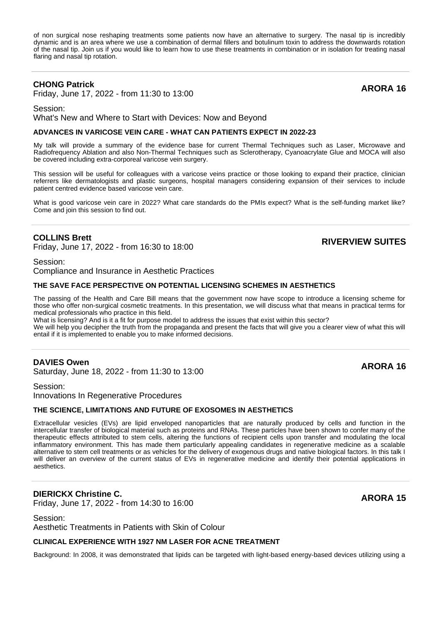of non surgical nose reshaping treatments some patients now have an alternative to surgery. The nasal tip is incredibly dynamic and is an area where we use a combination of dermal fillers and botulinum toxin to address the downwards rotation of the nasal tip. Join us if you would like to learn how to use these treatments in combination or in isolation for treating nasal flaring and nasal tip rotation.

# **CHONG Patrick**

Friday, June 17, 2022 - from 11:30 to 13:00 **ARORA 16**

Session:

What's New and Where to Start with Devices: Now and Beyond

#### **ADVANCES IN VARICOSE VEIN CARE - WHAT CAN PATIENTS EXPECT IN 2022-23**

My talk will provide a summary of the evidence base for current Thermal Techniques such as Laser, Microwave and Radiofrequency Ablation and also Non-Thermal Techniques such as Sclerotherapy, Cyanoacrylate Glue and MOCA will also be covered including extra-corporeal varicose vein surgery.

This session will be useful for colleagues with a varicose veins practice or those looking to expand their practice, clinician referrers like dermatologists and plastic surgeons, hospital managers considering expansion of their services to include patient centred evidence based varicose vein care.

What is good varicose vein care in 2022? What care standards do the PMIs expect? What is the self-funding market like? Come and join this session to find out.

# **COLLINS Brett**

Friday, June 17, 2022 - from 16:30 to 18:00 **RIVERVIEW SUITES**

Session:

Compliance and Insurance in Aesthetic Practices

# **THE SAVE FACE PERSPECTIVE ON POTENTIAL LICENSING SCHEMES IN AESTHETICS**

The passing of the Health and Care Bill means that the government now have scope to introduce a licensing scheme for those who offer non-surgical cosmetic treatments. In this presentation, we will discuss what that means in practical terms for medical professionals who practice in this field.

What is licensing? And is it a fit for purpose model to address the issues that exist within this sector?

We will help you decipher the truth from the propaganda and present the facts that will give you a clearer view of what this will entail if it is implemented to enable you to make informed decisions.

# **DAVIES Owen**

**DAVIES OWER**<br>Saturday, June 18, 2022 - from 11:30 to 13:00

Session: Innovations In Regenerative Procedures

# **THE SCIENCE, LIMITATIONS AND FUTURE OF EXOSOMES IN AESTHETICS**

Extracellular vesicles (EVs) are lipid enveloped nanoparticles that are naturally produced by cells and function in the intercellular transfer of biological material such as proteins and RNAs. These particles have been shown to confer many of the therapeutic effects attributed to stem cells, altering the functions of recipient cells upon transfer and modulating the local inflammatory environment. This has made them particularly appealing candidates in regenerative medicine as a scalable alternative to stem cell treatments or as vehicles for the delivery of exogenous drugs and native biological factors. In this talk I will deliver an overview of the current status of EVs in regenerative medicine and identify their potential applications in aesthetics.

# **DIERICKX Christine C. DIERICKX Christine C.**<br>Friday, June 17, 2022 - from 14:30 to 16:00 **ARORA 15**

Session: Aesthetic Treatments in Patients with Skin of Colour

# **CLINICAL EXPERIENCE WITH 1927 NM LASER FOR ACNE TREATMENT**

Background: In 2008, it was demonstrated that lipids can be targeted with light-based energy-based devices utilizing using a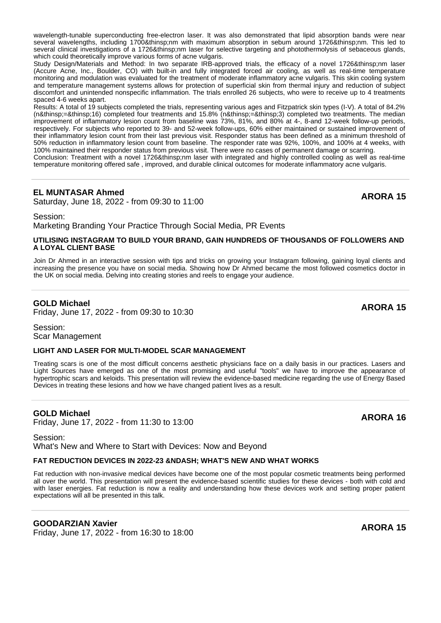wavelength-tunable superconducting free-electron laser. It was also demonstrated that lipid absorption bands were near several wavelengths, including 1700 nm with maximum absorption in sebum around 1726 nm. This led to several clinical investigations of a 1726 nm laser for selective targeting and photothermolysis of sebaceous glands, which could theoretically improve various forms of acne vulgaris.

Study Design/Materials and Method: In two separate IRB-approved trials, the efficacy of a novel 1726 nm laser (Accure Acne, Inc., Boulder, CO) with built-in and fully integrated forced air cooling, as well as real-time temperature monitoring and modulation was evaluated for the treatment of moderate inflammatory acne vulgaris. This skin cooling system and temperature management systems allows for protection of superficial skin from thermal injury and reduction of subject discomfort and unintended nonspecific inflammation. The trials enrolled 26 subjects, who were to receive up to 4 treatments spaced 4-6 weeks apart.

Results: A total of 19 subjects completed the trials, representing various ages and Fitzpatrick skin types (I-V). A total of 84.2% (n = 16) completed four treatments and 15.8% (n = 3) completed two treatments. The median improvement of inflammatory lesion count from baseline was 73%, 81%, and 80% at 4-, 8-and 12-week follow-up periods, respectively. For subjects who reported to 39- and 52-week follow-ups, 60% either maintained or sustained improvement of their inflammatory lesion count from their last previous visit. Responder status has been defined as a minimum threshold of 50% reduction in inflammatory lesion count from baseline. The responder rate was 92%, 100%, and 100% at 4 weeks, with 100% maintained their responder status from previous visit. There were no cases of permanent damage or scarring.

Conclusion: Treatment with a novel 1726 nm laser with integrated and highly controlled cooling as well as real-time temperature monitoring offered safe , improved, and durable clinical outcomes for moderate inflammatory acne vulgaris.

# **EL MUNTASAR Ahmed**

EL MUNTASAR ATTITUDE<br>Saturday, June 18, 2022 - from 09:30 to 11:00

#### Session:

Marketing Branding Your Practice Through Social Media, PR Events

### **UTILISING INSTAGRAM TO BUILD YOUR BRAND, GAIN HUNDREDS OF THOUSANDS OF FOLLOWERS AND A LOYAL CLIENT BASE**

Join Dr Ahmed in an interactive session with tips and tricks on growing your Instagram following, gaining loyal clients and increasing the presence you have on social media. Showing how Dr Ahmed became the most followed cosmetics doctor in the UK on social media. Delving into creating stories and reels to engage your audience.

# **GOLD Michael**

Friday, June 17, 2022 - from 09:30 to 10:30 **ARORA 15**

Session: Scar Management

# **LIGHT AND LASER FOR MULTI-MODEL SCAR MANAGEMENT**

Treating scars is one of the most difficult concerns aesthetic physicians face on a daily basis in our practices. Lasers and Light Sources have emerged as one of the most promising and useful "tools" we have to improve the appearance of hypertrophic scars and keloids. This presentation will review the evidence-based medicine regarding the use of Energy Based Devices in treating these lesions and how we have changed patient lives as a result.

# **GOLD Michael**

Friday, June 17, 2022 - from 11:30 to 13:00 **ARORA 16**

Session: What's New and Where to Start with Devices: Now and Beyond

# **FAT REDUCTION DEVICES IN 2022-23 &NDASH: WHAT'S NEW AND WHAT WORKS**

Fat reduction with non-invasive medical devices have become one of the most popular cosmetic treatments being performed all over the world. This presentation will present the evidence-based scientific studies for these devices - both with cold and with laser energies. Fat reduction is now a reality and understanding how these devices work and setting proper patient expectations will all be presented in this talk.

# **GOODARZIAN Xavier**

Friday, June 17, 2022 - from 16:30 to 18:00 **ARORA 15**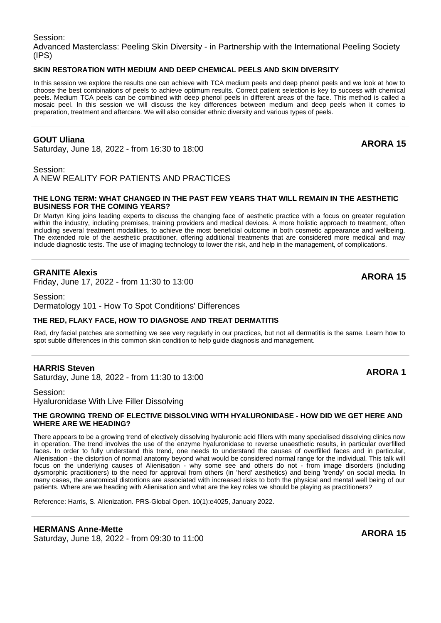Session: Advanced Masterclass: Peeling Skin Diversity - in Partnership with the International Peeling Society (IPS)

# **SKIN RESTORATION WITH MEDIUM AND DEEP CHEMICAL PEELS AND SKIN DIVERSITY**

In this session we explore the results one can achieve with TCA medium peels and deep phenol peels and we look at how to choose the best combinations of peels to achieve optimum results. Correct patient selection is key to success with chemical peels. Medium TCA peels can be combined with deep phenol peels in different areas of the face. This method is called a mosaic peel. In this session we will discuss the key differences between medium and deep peels when it comes to preparation, treatment and aftercare. We will also consider ethnic diversity and various types of peels.

# **GOUT Uliana**

**GOUT UIIana**<br>Saturday, June 18, 2022 - from 16:30 to 18:00

Session:

A NEW REALITY FOR PATIENTS AND PRACTICES

#### **THE LONG TERM: WHAT CHANGED IN THE PAST FEW YEARS THAT WILL REMAIN IN THE AESTHETIC BUSINESS FOR THE COMING YEARS?**

Dr Martyn King joins leading experts to discuss the changing face of aesthetic practice with a focus on greater regulation within the industry, including premises, training providers and medical devices. A more holistic approach to treatment, often including several treatment modalities, to achieve the most beneficial outcome in both cosmetic appearance and wellbeing. The extended role of the aesthetic practitioner, offering additional treatments that are considered more medical and may include diagnostic tests. The use of imaging technology to lower the risk, and help in the management, of complications.

# **GRANITE Alexis**

Friday, June 17, 2022 - from 11:30 to 13:00 **ARORA 15**

Session: Dermatology 101 - How To Spot Conditions' Differences

#### **THE RED, FLAKY FACE, HOW TO DIAGNOSE AND TREAT DERMATITIS**

Red, dry facial patches are something we see very regularly in our practices, but not all dermatitis is the same. Learn how to spot subtle differences in this common skin condition to help guide diagnosis and management.

# **HARRIS Steven**

**HARRIS Steven**<br>Saturday, June 18, 2022 - from 11:30 to 13:00

# Session: Hyaluronidase With Live Filler Dissolving

#### **THE GROWING TREND OF ELECTIVE DISSOLVING WITH HYALURONIDASE - HOW DID WE GET HERE AND WHERE ARE WE HEADING?**

There appears to be a growing trend of electively dissolving hyaluronic acid fillers with many specialised dissolving clinics now in operation. The trend involves the use of the enzyme hyaluronidase to reverse unaesthetic results, in particular overfilled faces. In order to fully understand this trend, one needs to understand the causes of overfilled faces and in particular, Alienisation - the distortion of normal anatomy beyond what would be considered normal range for the individual. This talk will focus on the underlying causes of Alienisation - why some see and others do not - from image disorders (including dysmorphic practitioners) to the need for approval from others (in 'herd' aesthetics) and being 'trendy' on social media. In many cases, the anatomical distortions are associated with increased risks to both the physical and mental well being of our patients. Where are we heading with Alienisation and what are the key roles we should be playing as practitioners?

Reference: Harris, S. Alienization. PRS-Global Open. 10(1):e4025, January 2022.

# **HERMANS Anne-Mette**

**HERMANS Anne-Mette**<br>Saturday, June 18, 2022 - from 09:30 to 11:00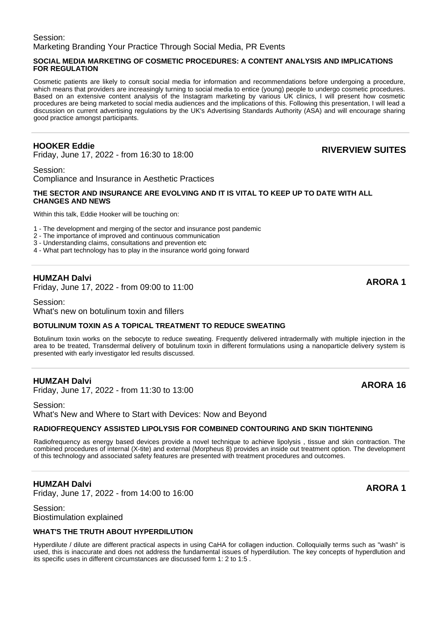# Session: Marketing Branding Your Practice Through Social Media, PR Events

# **SOCIAL MEDIA MARKETING OF COSMETIC PROCEDURES: A CONTENT ANALYSIS AND IMPLICATIONS FOR REGULATION**

Cosmetic patients are likely to consult social media for information and recommendations before undergoing a procedure, which means that providers are increasingly turning to social media to entice (young) people to undergo cosmetic procedures. Based on an extensive content analysis of the Instagram marketing by various UK clinics, I will present how cosmetic procedures are being marketed to social media audiences and the implications of this. Following this presentation, I will lead a discussion on current advertising regulations by the UK's Advertising Standards Authority (ASA) and will encourage sharing good practice amongst participants.

# **HOOKER Eddie**

Friday, June 17, 2022 - from 16:30 to 18:00 **RIVERVIEW SUITES**

Session: Compliance and Insurance in Aesthetic Practices

# **THE SECTOR AND INSURANCE ARE EVOLVING AND IT IS VITAL TO KEEP UP TO DATE WITH ALL CHANGES AND NEWS**

Within this talk, Eddie Hooker will be touching on:

- 1 The development and merging of the sector and insurance post pandemic
- 2 The importance of improved and continuous communication
- 3 Understanding claims, consultations and prevention etc
- 4 What part technology has to play in the insurance world going forward

# **HUMZAH Dalvi**

**FIUMZAH Daivi**<br>Friday, June 17, 2022 - from 09:00 to 11:00 **ARORA 1** 

#### Session:

What's new on botulinum toxin and fillers

# **BOTULINUM TOXIN AS A TOPICAL TREATMENT TO REDUCE SWEATING**

Botulinum toxin works on the sebocyte to reduce sweating. Frequently delivered intradermally with multiple injection in the area to be treated, Transdermal delivery of botulinum toxin in different formulations using a nanoparticle delivery system is presented with early investigator led results discussed.

# **HUMZAH Dalvi**

Friday, June 17, 2022 - from 11:30 to 13:00 **ARORA 16**

Session: What's New and Where to Start with Devices: Now and Beyond

# **RADIOFREQUENCY ASSISTED LIPOLYSIS FOR COMBINED CONTOURING AND SKIN TIGHTENING**

Radiofrequency as energy based devices provide a novel technique to achieve lipolysis , tissue and skin contraction. The combined procedures of internal (X-tite) and external (Morpheus 8) provides an inside out treatment option. The development of this technology and associated safety features are presented with treatment procedures and outcomes.

# **HUMZAH Dalvi**

Friday, June 17, 2022 - from 14:00 to 16:00 **ARORA 1**

Session: Biostimulation explained

# **WHAT'S THE TRUTH ABOUT HYPERDILUTION**

Hyperdilute / dilute are different practical aspects in using CaHA for collagen induction. Colloquially terms such as "wash" is used, this is inaccurate and does not address the fundamental issues of hyperdilution. The key concepts of hyperdlution and its specific uses in different circumstances are discussed form 1: 2 to 1:5 .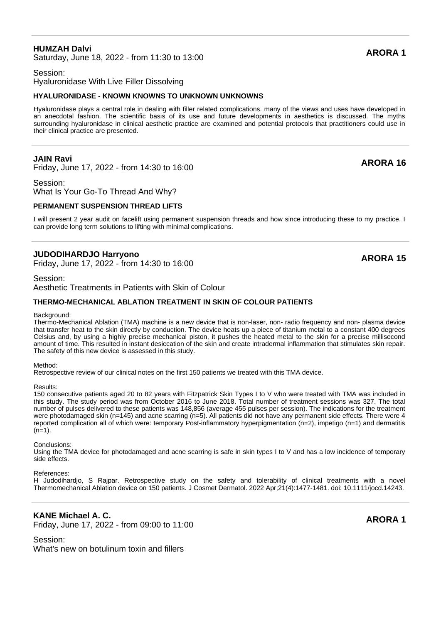# **HUMZAH Dalvi**

**HUMZAH Daivi**<br>Saturday, June 18, 2022 - from 11:30 to 13:00

# Session: Hyaluronidase With Live Filler Dissolving

#### **HYALURONIDASE - KNOWN KNOWNS TO UNKNOWN UNKNOWNS**

Hyaluronidase plays a central role in dealing with filler related complications. many of the views and uses have developed in an anecdotal fashion. The scientific basis of its use and future developments in aesthetics is discussed. The myths surrounding hyaluronidase in clinical aesthetic practice are examined and potential protocols that practitioners could use in their clinical practice are presented.

# **JAIN Ravi**

Friday, June 17, 2022 - from 14:30 to 16:00 **ARORA 16**

Session: What Is Your Go-To Thread And Why?

# **PERMANENT SUSPENSION THREAD LIFTS**

I will present 2 year audit on facelift using permanent suspension threads and how since introducing these to my practice, I can provide long term solutions to lifting with minimal complications.

# **JUDODIHARDJO Harryono**

Friday, June 17, 2022 - from 14:30 to 16:00 **ARORA 15**

#### Session:

Aesthetic Treatments in Patients with Skin of Colour

#### **THERMO-MECHANICAL ABLATION TREATMENT IN SKIN OF COLOUR PATIENTS**

#### Background:

Thermo-Mechanical Ablation (TMA) machine is a new device that is non-laser, non- radio frequency and non- plasma device that transfer heat to the skin directly by conduction. The device heats up a piece of titanium metal to a constant 400 degrees Celsius and, by using a highly precise mechanical piston, it pushes the heated metal to the skin for a precise millisecond amount of time. This resulted in instant desiccation of the skin and create intradermal inflammation that stimulates skin repair. The safety of this new device is assessed in this study.

#### Method:

Retrospective review of our clinical notes on the first 150 patients we treated with this TMA device.

#### Results:

150 consecutive patients aged 20 to 82 years with Fitzpatrick Skin Types I to V who were treated with TMA was included in this study. The study period was from October 2016 to June 2018. Total number of treatment sessions was 327. The total number of pulses delivered to these patients was 148,856 (average 455 pulses per session). The indications for the treatment were photodamaged skin (n=145) and acne scarring (n=5). All patients did not have any permanent side effects. There were 4 reported complication all of which were: temporary Post-inflammatory hyperpigmentation (n=2), impetigo (n=1) and dermatitis  $(n=1)$ .

#### Conclusions:

Using the TMA device for photodamaged and acne scarring is safe in skin types I to V and has a low incidence of temporary side effects.

#### References:

H Judodihardjo, S Rajpar. Retrospective study on the safety and tolerability of clinical treatments with a novel Thermomechanical Ablation device on 150 patients. J Cosmet Dermatol. 2022 Apr;21(4):1477-1481. doi: 10.1111/jocd.14243.

# **KANE Michael A. C.**

**KANE MIChael A. C.**<br>Friday, June 17, 2022 - from 09:00 to 11:00 **ARORA 1** 

Session: What's new on botulinum toxin and fillers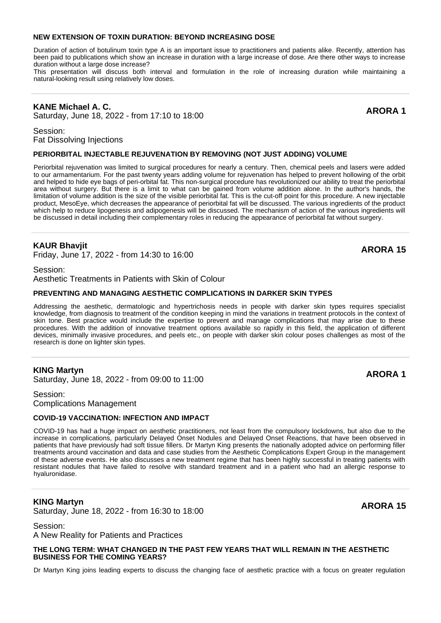#### **NEW EXTENSION OF TOXIN DURATION: BEYOND INCREASING DOSE**

Duration of action of botulinum toxin type A is an important issue to practitioners and patients alike. Recently, attention has been paid to publications which show an increase in duration with a large increase of dose. Are there other ways to increase duration without a large dose increase?

This presentation will discuss both interval and formulation in the role of increasing duration while maintaining a natural-looking result using relatively low doses.

# **KANE Michael A. C.**

**KANE MICHAEL A. C.**<br>Saturday, June 18, 2022 - from 17:10 to 18:00

Session: Fat Dissolving Injections

#### **PERIORBITAL INJECTABLE REJUVENATION BY REMOVING (NOT JUST ADDING) VOLUME**

Periorbital rejuvenation was limited to surgical procedures for nearly a century. Then, chemical peels and lasers were added to our armamentarium. For the past twenty years adding volume for rejuvenation has helped to prevent hollowing of the orbit and helped to hide eye bags of peri-orbital fat. This non-surgical procedure has revolutionized our ability to treat the periorbital area without surgery. But there is a limit to what can be gained from volume addition alone. In the author's hands, the limitation of volume addition is the size of the visible periorbital fat. This is the cut-off point for this procedure. A new injectable product, MesoEye, which decreases the appearance of periorbital fat will be discussed. The various ingredients of the product which help to reduce lipogenesis and adipogenesis will be discussed. The mechanism of action of the various ingredients will be discussed in detail including their complementary roles in reducing the appearance of periorbital fat without surgery.

#### **KAUR Bhavjit**

Friday, June 17, 2022 - from 14:30 to 16:00 **ARORA 15**

Session:

Aesthetic Treatments in Patients with Skin of Colour

#### **PREVENTING AND MANAGING AESTHETIC COMPLICATIONS IN DARKER SKIN TYPES**

Addressing the aesthetic, dermatologic and hypertrichosis needs in people with darker skin types requires specialist knowledge, from diagnosis to treatment of the condition keeping in mind the variations in treatment protocols in the context of skin tone. Best practice would include the expertise to prevent and manage complications that may arise due to these procedures. With the addition of innovative treatment options available so rapidly in this field, the application of different devices, minimally invasive procedures, and peels etc., on people with darker skin colour poses challenges as most of the research is done on lighter skin types.

#### **KING Martyn**

**KING Martyn**<br>Saturday, June 18, 2022 - from 09:00 to 11:00

Session: Complications Management

#### **COVID-19 VACCINATION: INFECTION AND IMPACT**

COVID-19 has had a huge impact on aesthetic practitioners, not least from the compulsory lockdowns, but also due to the increase in complications, particularly Delayed Onset Nodules and Delayed Onset Reactions, that have been observed in patients that have previously had soft tissue fillers. Dr Martyn King presents the nationally adopted advice on performing filler treatments around vaccination and data and case studies from the Aesthetic Complications Expert Group in the management of these adverse events. He also discusses a new treatment regime that has been highly successful in treating patients with resistant nodules that have failed to resolve with standard treatment and in a patient who had an allergic response to hyaluronidase.

# **KING Martyn**

**KING Martyn**<br>Saturday, June 18, 2022 - from 16:30 to 18:00

# Session:

A New Reality for Patients and Practices

**THE LONG TERM: WHAT CHANGED IN THE PAST FEW YEARS THAT WILL REMAIN IN THE AESTHETIC BUSINESS FOR THE COMING YEARS?**

Dr Martyn King joins leading experts to discuss the changing face of aesthetic practice with a focus on greater regulation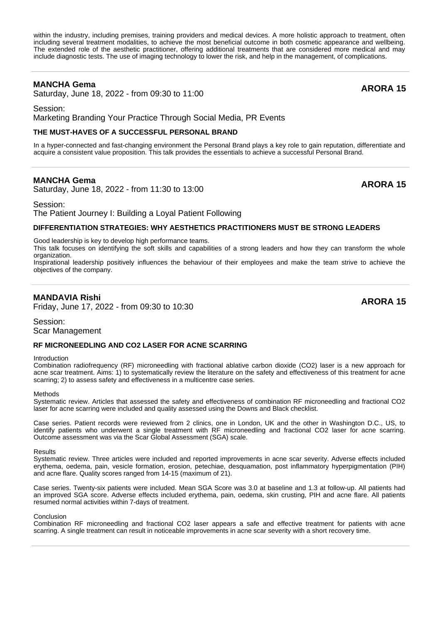within the industry, including premises, training providers and medical devices. A more holistic approach to treatment, often including several treatment modalities, to achieve the most beneficial outcome in both cosmetic appearance and wellbeing. The extended role of the aesthetic practitioner, offering additional treatments that are considered more medical and may include diagnostic tests. The use of imaging technology to lower the risk, and help in the management, of complications.

# **MANCHA Gema**

**MANCHA Gema**<br>Saturday, June 18, 2022 - from 09:30 to 11:00

Session:

Marketing Branding Your Practice Through Social Media, PR Events

#### **THE MUST-HAVES OF A SUCCESSFUL PERSONAL BRAND**

In a hyper-connected and fast-changing environment the Personal Brand plays a key role to gain reputation, differentiate and acquire a consistent value proposition. This talk provides the essentials to achieve a successful Personal Brand.

# **MANCHA Gema**

**MANCHA Gema**<br>Saturday, June 18, 2022 - from 11:30 to 13:00

Session: The Patient Journey I: Building a Loyal Patient Following

# **DIFFERENTIATION STRATEGIES: WHY AESTHETICS PRACTITIONERS MUST BE STRONG LEADERS**

Good leadership is key to develop high performance teams.

This talk focuses on identifying the soft skills and capabilities of a strong leaders and how they can transform the whole organization.

Inspirational leadership positively influences the behaviour of their employees and make the team strive to achieve the objectives of the company.

# **MANDAVIA Rishi**

Friday, June 17, 2022 - from 09:30 to 10:30 **ARORA 15**

Session: Scar Management

#### **RF MICRONEEDLING AND CO2 LASER FOR ACNE SCARRING**

#### Introduction

Combination radiofrequency (RF) microneedling with fractional ablative carbon dioxide (CO2) laser is a new approach for acne scar treatment. Aims: 1) to systematically review the literature on the safety and effectiveness of this treatment for acne scarring; 2) to assess safety and effectiveness in a multicentre case series.

#### **Methods**

Systematic review. Articles that assessed the safety and effectiveness of combination RF microneedling and fractional CO2 laser for acne scarring were included and quality assessed using the Downs and Black checklist.

Case series. Patient records were reviewed from 2 clinics, one in London, UK and the other in Washington D.C., US, to identify patients who underwent a single treatment with RF microneedling and fractional CO2 laser for acne scarring. Outcome assessment was via the Scar Global Assessment (SGA) scale.

**Results** 

Systematic review. Three articles were included and reported improvements in acne scar severity. Adverse effects included erythema, oedema, pain, vesicle formation, erosion, petechiae, desquamation, post inflammatory hyperpigmentation (PIH) and acne flare. Quality scores ranged from 14-15 (maximum of 21).

Case series. Twenty-six patients were included. Mean SGA Score was 3.0 at baseline and 1.3 at follow-up. All patients had an improved SGA score. Adverse effects included erythema, pain, oedema, skin crusting, PIH and acne flare. All patients resumed normal activities within 7-days of treatment.

Conclusion

Combination RF microneedling and fractional CO2 laser appears a safe and effective treatment for patients with acne scarring. A single treatment can result in noticeable improvements in acne scar severity with a short recovery time.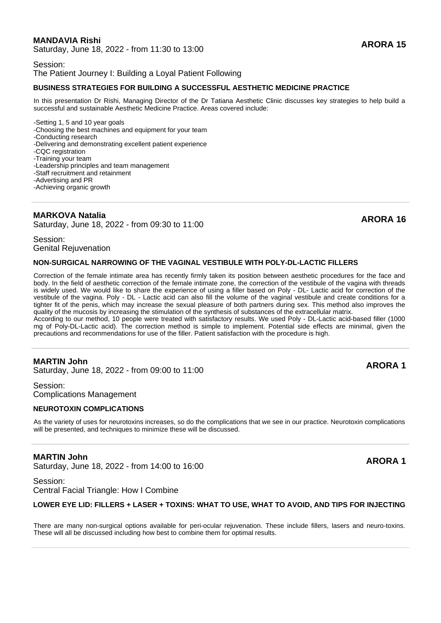# **MANDAVIA Rishi**

**MANDAVIA RISHI**<br>Saturday, June 18, 2022 - from 11:30 to 13:00

#### Session: The Patient Journey I: Building a Loyal Patient Following

# **BUSINESS STRATEGIES FOR BUILDING A SUCCESSFUL AESTHETIC MEDICINE PRACTICE**

In this presentation Dr Rishi, Managing Director of the Dr Tatiana Aesthetic Clinic discusses key strategies to help build a successful and sustainable Aesthetic Medicine Practice. Areas covered include:

-Setting 1, 5 and 10 year goals

-Choosing the best machines and equipment for your team

-Conducting research

-Delivering and demonstrating excellent patient experience

-CQC registration

-Training your team

-Leadership principles and team management

-Staff recruitment and retainment

-Advertising and PR -Achieving organic growth

# **MARKOVA Natalia**

**MARNOVA Natalia**<br>Saturday, June 18, 2022 - from 09:30 to 11:00

Session: Genital Rejuvenation

# **NON-SURGICAL NARROWING OF THE VAGINAL VESTIBULE WITH POLY-DL-LACTIC FILLERS**

Correction of the female intimate area has recently firmly taken its position between aesthetic procedures for the face and body. In the field of aesthetic correction of the female intimate zone, the correction of the vestibule of the vagina with threads is widely used. We would like to share the experience of using a filler based on Poly - DL- Lactic acid for correction of the vestibule of the vagina. Poly - DL - Lactic acid can also fill the volume of the vaginal vestibule and create conditions for a tighter fit of the penis, which may increase the sexual pleasure of both partners during sex. This method also improves the quality of the mucosis by increasing the stimulation of the synthesis of substances of the extracellular matrix.

According to our method, 10 people were treated with satisfactory results. We used Poly - DL-Lactic acid-based filler (1000 mg of Poly-DL-Lactic acid). The correction method is simple to implement. Potential side effects are minimal, given the precautions and recommendations for use of the filler. Patient satisfaction with the procedure is high.

# **MARTIN John**

**MARTIN JONN<br>Saturday, June 18, 2022 - from 09:00 to 11:00 ARORA 1** 

Session: Complications Management

# **NEUROTOXIN COMPLICATIONS**

As the variety of uses for neurotoxins increases, so do the complications that we see in our practice. Neurotoxin complications will be presented, and techniques to minimize these will be discussed.

# **MARTIN John**

**MARTIN JONN<br>Saturday, June 18, 2022 - from 14:00 to 16:00 ARORA 1** 

Session: Central Facial Triangle: How I Combine

# **LOWER EYE LID: FILLERS + LASER + TOXINS: WHAT TO USE, WHAT TO AVOID, AND TIPS FOR INJECTING**

There are many non-surgical options available for peri-ocular rejuvenation. These include fillers, lasers and neuro-toxins. These will all be discussed including how best to combine them for optimal results.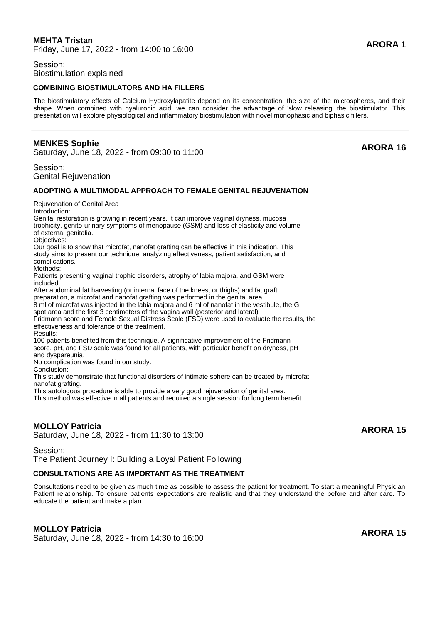# **MEHTA Tristan**

Friday, June 17, 2022 - from 14:00 to 16:00 **ARORA 1**

# Session: Biostimulation explained

# **COMBINING BIOSTIMULATORS AND HA FILLERS**

The biostimulatory effects of Calcium Hydroxylapatite depend on its concentration, the size of the microspheres, and their shape. When combined with hyaluronic acid, we can consider the advantage of 'slow releasing' the biostimulator. This presentation will explore physiological and inflammatory biostimulation with novel monophasic and biphasic fillers.

# **MENKES Sophie**

# **EXERVES SOPTIE**<br>Saturday, June 18, 2022 - from 09:30 to 11:00

Session: Genital Rejuvenation

#### **ADOPTING A MULTIMODAL APPROACH TO FEMALE GENITAL REJUVENATION**

Rejuvenation of Genital Area

Introduction:

Genital restoration is growing in recent years. It can improve vaginal dryness, mucosa trophicity, genito-urinary symptoms of menopause (GSM) and loss of elasticity and volume of external genitalia.

Objectives:

Our goal is to show that microfat, nanofat grafting can be effective in this indication. This study aims to present our technique, analyzing effectiveness, patient satisfaction, and complications.

Methods:

Patients presenting vaginal trophic disorders, atrophy of labia majora, and GSM were included.

After abdominal fat harvesting (or internal face of the knees, or thighs) and fat graft preparation, a microfat and nanofat grafting was performed in the genital area. 8 ml of microfat was injected in the labia majora and 6 ml of nanofat in the vestibule, the G

spot area and the first 3 centimeters of the vagina wall (posterior and lateral)

Fridmann score and Female Sexual Distress Scale (FSD) were used to evaluate the results, the effectiveness and tolerance of the treatment.

Results:

100 patients benefited from this technique. A significative improvement of the Fridmann score, pH, and FSD scale was found for all patients, with particular benefit on dryness, pH and dyspareunia.

No complication was found in our study.

Conclusion:

This study demonstrate that functional disorders of intimate sphere can be treated by microfat, nanofat grafting.

This autologous procedure is able to provide a very good rejuvenation of genital area.

This method was effective in all patients and required a single session for long term benefit.

# **MOLLOY Patricia**

**MOLLOT Patricia**<br>Saturday, June 18, 2022 - from 11:30 to 13:00

Session: The Patient Journey I: Building a Loyal Patient Following

# **CONSULTATIONS ARE AS IMPORTANT AS THE TREATMENT**

Consultations need to be given as much time as possible to assess the patient for treatment. To start a meaningful Physician Patient relationship. To ensure patients expectations are realistic and that they understand the before and after care. To educate the patient and make a plan.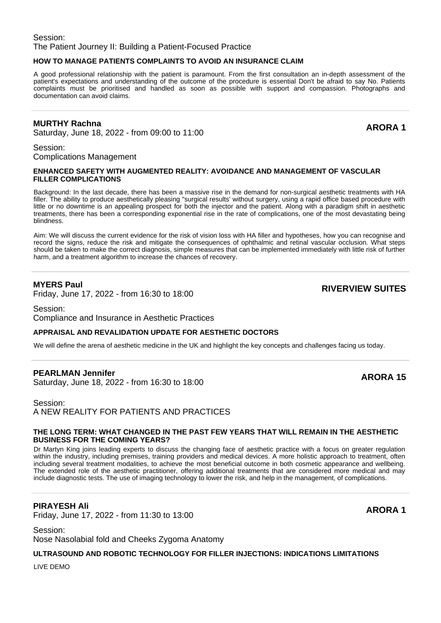# Session: The Patient Journey II: Building a Patient-Focused Practice

# **HOW TO MANAGE PATIENTS COMPLAINTS TO AVOID AN INSURANCE CLAIM**

A good professional relationship with the patient is paramount. From the first consultation an in-depth assessment of the patient's expectations and understanding of the outcome of the procedure is essential Don't be afraid to say No. Patients complaints must be prioritised and handled as soon as possible with support and compassion. Photographs and documentation can avoid claims.

# **MURTHY Rachna**

**NORTHT Rachna**<br>Saturday, June 18, 2022 - from 09:00 to 11:00

Session: Complications Management

#### **ENHANCED SAFETY WITH AUGMENTED REALITY: AVOIDANCE AND MANAGEMENT OF VASCULAR FILLER COMPLICATIONS**

Background: In the last decade, there has been a massive rise in the demand for non-surgical aesthetic treatments with HA filler. The ability to produce aesthetically pleasing "surgical results' without surgery, using a rapid office based procedure with little or no downtime is an appealing prospect for both the injector and the patient. Along with a paradigm shift in aesthetic treatments, there has been a corresponding exponential rise in the rate of complications, one of the most devastating being blindness.

Aim: We will discuss the current evidence for the risk of vision loss with HA filler and hypotheses, how you can recognise and record the signs, reduce the risk and mitigate the consequences of ophthalmic and retinal vascular occlusion. What steps should be taken to make the correct diagnosis, simple measures that can be implemented immediately with little risk of further harm, and a treatment algorithm to increase the chances of recovery.

# **MYERS Paul**

Friday, June 17, 2022 - from 16:30 to 18:00 **RIVERVIEW SUITES**

Session: Compliance and Insurance in Aesthetic Practices

# **APPRAISAL AND REVALIDATION UPDATE FOR AESTHETIC DOCTORS**

We will define the arena of aesthetic medicine in the UK and highlight the key concepts and challenges facing us today.

# **PEARLMAN Jennifer**

**PEARLMAN Jennifer**<br>Saturday, June 18, 2022 - from 16:30 to 18:00

Session: A NEW REALITY FOR PATIENTS AND PRACTICES

#### **THE LONG TERM: WHAT CHANGED IN THE PAST FEW YEARS THAT WILL REMAIN IN THE AESTHETIC BUSINESS FOR THE COMING YEARS?**

Dr Martyn King joins leading experts to discuss the changing face of aesthetic practice with a focus on greater regulation within the industry, including premises, training providers and medical devices. A more holistic approach to treatment, often including several treatment modalities, to achieve the most beneficial outcome in both cosmetic appearance and wellbeing. The extended role of the aesthetic practitioner, offering additional treatments that are considered more medical and may include diagnostic tests. The use of imaging technology to lower the risk, and help in the management, of complications.

# **PIRAYESH Ali**

Friday, June 17, 2022 - from 11:30 to 13:00 **ARORA 1**

Session: Nose Nasolabial fold and Cheeks Zygoma Anatomy

**ULTRASOUND AND ROBOTIC TECHNOLOGY FOR FILLER INJECTIONS: INDICATIONS LIMITATIONS**

LIVE DEMO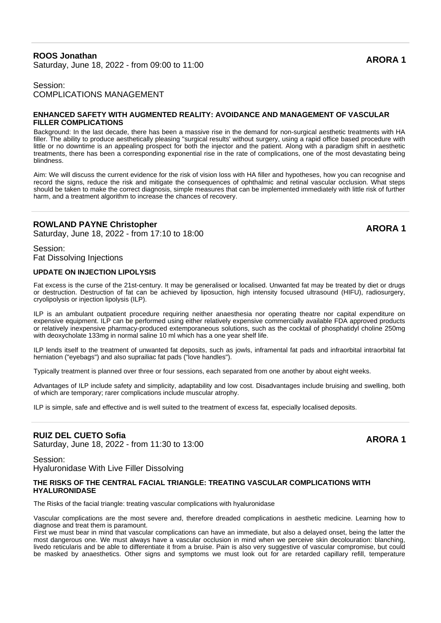# **ROOS Jonathan** ROOS Johathan<br>Saturday, June 18, 2022 - from 09:00 to 11:00

# Session: COMPLICATIONS MANAGEMENT

#### **ENHANCED SAFETY WITH AUGMENTED REALITY: AVOIDANCE AND MANAGEMENT OF VASCULAR FILLER COMPLICATIONS**

Background: In the last decade, there has been a massive rise in the demand for non-surgical aesthetic treatments with HA filler. The ability to produce aesthetically pleasing "surgical results' without surgery, using a rapid office based procedure with little or no downtime is an appealing prospect for both the injector and the patient. Along with a paradigm shift in aesthetic treatments, there has been a corresponding exponential rise in the rate of complications, one of the most devastating being blindness.

Aim: We will discuss the current evidence for the risk of vision loss with HA filler and hypotheses, how you can recognise and record the signs, reduce the risk and mitigate the consequences of ophthalmic and retinal vascular occlusion. What steps should be taken to make the correct diagnosis, simple measures that can be implemented immediately with little risk of further harm, and a treatment algorithm to increase the chances of recovery.

# **ROWLAND PAYNE Christopher**

ROWLAND PAYNE Christopher<br>Saturday, June 18, 2022 - from 17:10 to 18:00

Session: Fat Dissolving Injections

# **UPDATE ON INJECTION LIPOLYSIS**

Fat excess is the curse of the 21st-century. It may be generalised or localised. Unwanted fat may be treated by diet or drugs or destruction. Destruction of fat can be achieved by liposuction, high intensity focused ultrasound (HIFU), radiosurgery, cryolipolysis or injection lipolysis (ILP).

ILP is an ambulant outpatient procedure requiring neither anaesthesia nor operating theatre nor capital expenditure on expensive equipment. ILP can be performed using either relatively expensive commercially available FDA approved products or relatively inexpensive pharmacy-produced extemporaneous solutions, such as the cocktail of phosphatidyl choline 250mg with deoxycholate 133mg in normal saline 10 ml which has a one year shelf life.

ILP lends itself to the treatment of unwanted fat deposits, such as jowls, inframental fat pads and infraorbital intraorbital fat herniation ("eyebags") and also suprailiac fat pads ("love handles").

Typically treatment is planned over three or four sessions, each separated from one another by about eight weeks.

Advantages of ILP include safety and simplicity, adaptability and low cost. Disadvantages include bruising and swelling, both of which are temporary; rarer complications include muscular atrophy.

ILP is simple, safe and effective and is well suited to the treatment of excess fat, especially localised deposits.

# **RUIZ DEL CUETO Sofia**

RUIZ DEL CUETO SOTI**a**<br>Saturday, June 18, 2022 - from 11:30 to 13:00

# Session:

Hyaluronidase With Live Filler Dissolving

#### **THE RISKS OF THE CENTRAL FACIAL TRIANGLE: TREATING VASCULAR COMPLICATIONS WITH HYALURONIDASE**

The Risks of the facial triangle: treating vascular complications with hyaluronidase

Vascular complications are the most severe and, therefore dreaded complications in aesthetic medicine. Learning how to diagnose and treat them is paramount.

First we must bear in mind that vascular complications can have an immediate, but also a delayed onset, being the latter the most dangerous one. We must always have a vascular occlusion in mind when we perceive skin decolouration: blanching, livedo reticularis and be able to differentiate it from a bruise. Pain is also very suggestive of vascular compromise, but could be masked by anaesthetics. Other signs and symptoms we must look out for are retarded capillary refill, temperature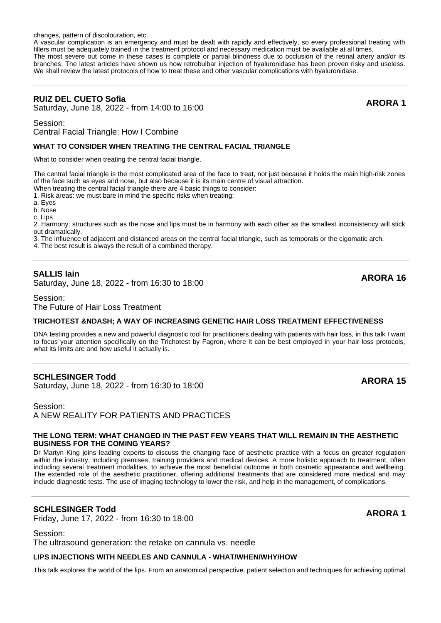changes, pattern of discolouration, etc.

A vascular complication is an emergency and must be dealt with rapidly and effectively, so every professional treating with fillers must be adequately trained in the treatment protocol and necessary medication must be available at all times. The most severe out come in these cases is complete or partial blindness due to occlusion of the retinal artery and/or its branches. The latest articles have shown us how retrobulbar injection of hyaluronidase has been proven risky and useless. We shall review the latest protocols of how to treat these and other vascular complications with hyaluronidase.

# **RUIZ DEL CUETO Sofia**

**RUIZ DEL CUETO SOTIA**<br>Saturday, June 18, 2022 - from 14:00 to 16:00

Session:

Central Facial Triangle: How I Combine

# **WHAT TO CONSIDER WHEN TREATING THE CENTRAL FACIAL TRIANGLE**

What to consider when treating the central facial triangle.

The central facial triangle is the most complicated area of the face to treat, not just because it holds the main high-risk zones of the face such as eyes and nose, but also because it is its main centre of visual attraction. When treating the central facial triangle there are 4 basic things to consider:

1. Risk areas: we must bare in mind the specific risks when treating:

a. Eyes

b. Nose

c. Lips

2. Harmony: structures such as the nose and lips must be in harmony with each other as the smallest inconsistency will stick out dramatically.

3. The influence of adjacent and distanced areas on the central facial triangle, such as temporals or the cigomatic arch.

4. The best result is always the result of a combined therapy.

# **SALLIS Iain**

**SALLIS Iain**<br>Saturday, June 18, 2022 - from 16:30 to 18:00 **ARORA 16** 

Session:

The Future of Hair Loss Treatment

# **TRICHOTEST &NDASH: A WAY OF INCREASING GENETIC HAIR LOSS TREATMENT EFFECTIVENESS**

DNA testing provides a new and powerful diagnostic tool for practitioners dealing with patients with hair loss, in this talk I want to focus your attention specifically on the Trichotest by Fagron, where it can be best employed in your hair loss protocols, what its limits are and how useful it actually is.

# **SCHLESINGER Todd**

SCHLESINGER TO **due to the 18 set of 18:00**<br>Saturday, June 18, 2022 - from 16:30 to 18:00

Session: A NEW REALITY FOR PATIENTS AND PRACTICES

#### **THE LONG TERM: WHAT CHANGED IN THE PAST FEW YEARS THAT WILL REMAIN IN THE AESTHETIC BUSINESS FOR THE COMING YEARS?**

Dr Martyn King joins leading experts to discuss the changing face of aesthetic practice with a focus on greater regulation within the industry, including premises, training providers and medical devices. A more holistic approach to treatment, often including several treatment modalities, to achieve the most beneficial outcome in both cosmetic appearance and wellbeing. The extended role of the aesthetic practitioner, offering additional treatments that are considered more medical and may include diagnostic tests. The use of imaging technology to lower the risk, and help in the management, of complications.

# **SCHLESINGER Todd**

SCHLESINGER 1000<br>
Friday, June 17, 2022 - from 16:30 to 18:00

Session: The ultrasound generation: the retake on cannula vs. needle

# **LIPS INJECTIONS WITH NEEDLES AND CANNULA - WHAT/WHEN/WHY/HOW**

This talk explores the world of the lips. From an anatomical perspective, patient selection and techniques for achieving optimal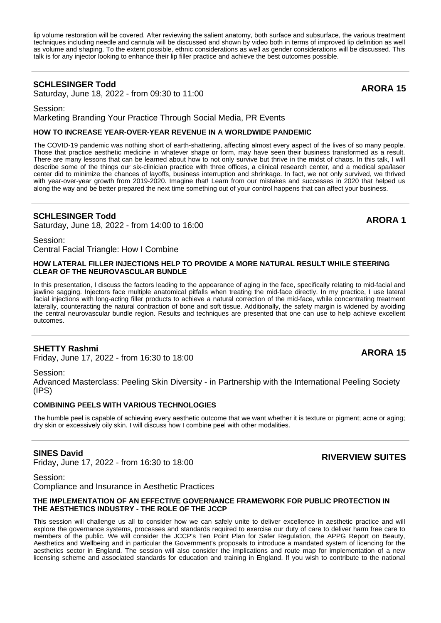lip volume restoration will be covered. After reviewing the salient anatomy, both surface and subsurface, the various treatment techniques including needle and cannula will be discussed and shown by video both in terms of improved lip definition as well as volume and shaping. To the extent possible, ethnic considerations as well as gender considerations will be discussed. This talk is for any injector looking to enhance their lip filler practice and achieve the best outcomes possible.

# **SCHLESINGER Todd**

SCHLESINGER TO **due to the UP 120 SCHLESINGER 15**<br>Saturday, June 18, 2022 - from 09:30 to 11:00

Session:

Marketing Branding Your Practice Through Social Media, PR Events

#### **HOW TO INCREASE YEAR-OVER-YEAR REVENUE IN A WORLDWIDE PANDEMIC**

The COVID-19 pandemic was nothing short of earth-shattering, affecting almost every aspect of the lives of so many people. Those that practice aesthetic medicine in whatever shape or form, may have seen their business transformed as a result. There are many lessons that can be learned about how to not only survive but thrive in the midst of chaos. In this talk, I will describe some of the things our six-clinician practice with three offices, a clinical research center, and a medical spa/laser center did to minimize the chances of layoffs, business interruption and shrinkage. In fact, we not only survived, we thrived with year-over-year growth from 2019-2020. Imagine that! Learn from our mistakes and successes in 2020 that helped us along the way and be better prepared the next time something out of your control happens that can affect your business.

# **SCHLESINGER Todd**

SCHLESINGEN TOOD<br>Saturday, June 18, 2022 - from 14:00 to 16:00

Session: Central Facial Triangle: How I Combine

#### **HOW LATERAL FILLER INJECTIONS HELP TO PROVIDE A MORE NATURAL RESULT WHILE STEERING CLEAR OF THE NEUROVASCULAR BUNDLE**

In this presentation, I discuss the factors leading to the appearance of aging in the face, specifically relating to mid-facial and jawline sagging. Injectors face multiple anatomical pitfalls when treating the mid-face directly. In my practice, I use lateral facial injections with long-acting filler products to achieve a natural correction of the mid-face, while concentrating treatment laterally, counteracting the natural contraction of bone and soft tissue. Additionally, the safety margin is widened by avoiding the central neurovascular bundle region. Results and techniques are presented that one can use to help achieve excellent outcomes.

# **SHETTY Rashmi**

**SHETTY Rashmi**<br>Friday, June 17, 2022 - from 16:30 to 18:00 **ARORA 15** 

#### Session:

Advanced Masterclass: Peeling Skin Diversity - in Partnership with the International Peeling Society (IPS)

#### **COMBINING PEELS WITH VARIOUS TECHNOLOGIES**

The humble peel is capable of achieving every aesthetic outcome that we want whether it is texture or pigment; acne or aging; dry skin or excessively oily skin. I will discuss how I combine peel with other modalities.

# **SINES David**

Friday, June 17, 2022 - from 16:30 to 18:00 **RIVERVIEW SUITES**

# Session:

Compliance and Insurance in Aesthetic Practices

#### **THE IMPLEMENTATION OF AN EFFECTIVE GOVERNANCE FRAMEWORK FOR PUBLIC PROTECTION IN THE AESTHETICS INDUSTRY - THE ROLE OF THE JCCP**

This session will challenge us all to consider how we can safely unite to deliver excellence in aesthetic practice and will explore the governance systems, processes and standards required to exercise our duty of care to deliver harm free care to members of the public. We will consider the JCCP's Ten Point Plan for Safer Regulation, the APPG Report on Beauty, Aesthetics and Wellbeing and in particular the Government's proposals to introduce a mandated system of licencing for the aesthetics sector in England. The session will also consider the implications and route map for implementation of a new licensing scheme and associated standards for education and training in England. If you wish to contribute to the national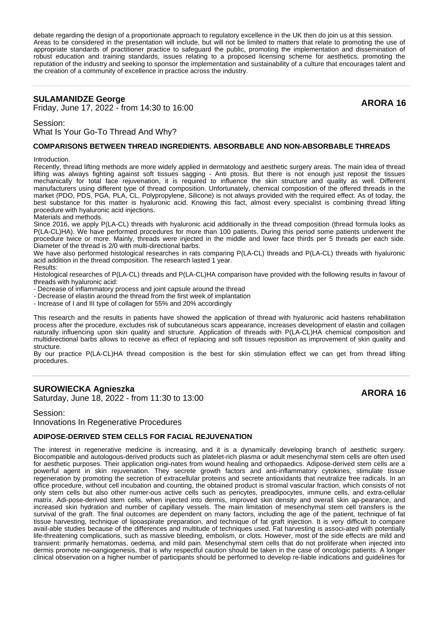debate regarding the design of a proportionate approach to regulatory excellence in the UK then do join us at this session. Areas to be considered in the presentation will include, but will not be limited to matters that relate to promoting the use of appropriate standards of practitioner practice to safeguard the public, promoting the implementation and dissemination of robust education and training standards, issues relating to a proposed licensing scheme for aesthetics, promoting the reputation of the industry and seeking to sponsor the implementation and sustainability of a culture that encourages talent and the creation of a community of excellence in practice across the industry.

# **SULAMANIDZE George**

SULAMANIDZE George<br>Friday, June 17, 2022 - from 14:30 to 16:00 **ARORA 16** 

Session:

What Is Your Go-To Thread And Why?

#### **COMPARISONS BETWEEN THREAD INGREDIENTS. ABSORBABLE AND NON-ABSORBABLE THREADS**

**Introduction** 

Recently, thread lifting methods are more widely applied in dermatology and aesthetic surgery areas. The main idea of thread lifting was always fighting against soft tissues sagging - Anti ptosis. But there is not enough just reposit the tissues mechanically for total face rejuvenation, it is required to influence the skin structure and quality as well. Different manufacturers using different type of thread composition. Unfortunately, chemical composition of the offered threads in the market (PDO, PDS, PGA, PLA, CL, Polypropylene, Silicone) is not always provided with the required effect. As of today, the best substance for this matter is hyaluronic acid. Knowing this fact, almost every specialist is combining thread lifting procedure with hyaluronic acid injections.

#### Materials and methods.

Since 2016, we apply P(LA-CL) threads with hyaluronic acid additionally in the thread composition (thread formula looks as P(LA-CL)HA). We have performed procedures for more than 100 patients. During this period some patients underwent the procedure twice or more. Mainly, threads were injected in the middle and lower face thirds per 5 threads per each side. Diameter of the thread is 2/0 with multi-directional barbs.

We have also performed histological researches in rats comparing P(LA-CL) threads and P(LA-CL) threads with hyaluronic acid addition in the thread composition. The research lasted 1 year. Results:

Histological researches of P(LA-CL) threads and P(LA-CL)HA comparison have provided with the following results in favour of threads with hyaluronic acid:

- Decrease of inflammatory process and joint capsule around the thread

- Decrease of elastin around the thread from the first week of implantation

- Increase of I and III type of collagen for 55% and 20% accordingly

This research and the results in patients have showed the application of thread with hyaluronic acid hastens rehabilitation process after the procedure, excludes risk of subcutaneous scars appearance, increases development of elastin and collagen naturally influencing upon skin quality and structure. Application of threads with P(LA-CL)HA chemical composition and multidirectional barbs allows to receive as effect of replacing and soft tissues reposition as improvement of skin quality and structure.

By our practice P(LA-CL)HA thread composition is the best for skin stimulation effect we can get from thread lifting procedures.

# **SUROWIECKA Agnieszka**

SUROWIECKA Agnieszka<br>Saturday, June 18, 2022 - from 11:30 to 13:00

# Session: Innovations In Regenerative Procedures

#### **ADIPOSE-DERIVED STEM CELLS FOR FACIAL REJUVENATION**

The interest in regenerative medicine is increasing, and it is a dynamically developing branch of aesthetic surgery. Biocompatible and autologous-derived products such as platelet-rich plasma or adult mesenchymal stem cells are often used for aesthetic purposes. Their application origi-nates from wound healing and orthopaedics. Adipose-derived stem cells are a powerful agent in skin rejuvenation. They secrete growth factors and anti-inflammatory cytokines, stimulate tissue regeneration by promoting the secretion of extracellular proteins and secrete antioxidants that neutralize free radicals. In an office procedure, without cell incubation and counting, the obtained product is stromal vascular fraction, which consists of not only stem cells but also other numer-ous active cells such as pericytes, preadipocytes, immune cells, and extra-cellular matrix. Adi-pose-derived stem cells, when injected into dermis, improved skin density and overall skin ap-pearance, and increased skin hydration and number of capillary vessels. The main limitation of mesenchymal stem cell transfers is the survival of the graft. The final outcomes are dependent on many factors, including the age of the patient, technique of fat tissue harvesting, technique of lipoaspirate preparation, and technique of fat graft injection. It is very difficult to compare avail-able studies because of the differences and multitude of techniques used. Fat harvesting is associ-ated with potentially life-threatening complications, such as massive bleeding, embolism, or clots. However, most of the side effects are mild and transient: primarily hematomas, oedema, and mild pain. Mesenchymal stem cells that do not proliferate when injected into dermis promote ne-oangiogenesis, that is why respectful caution should be taken in the case of oncologic patients. A longer clinical observation on a higher number of participants should be performed to develop re-liable indications and guidelines for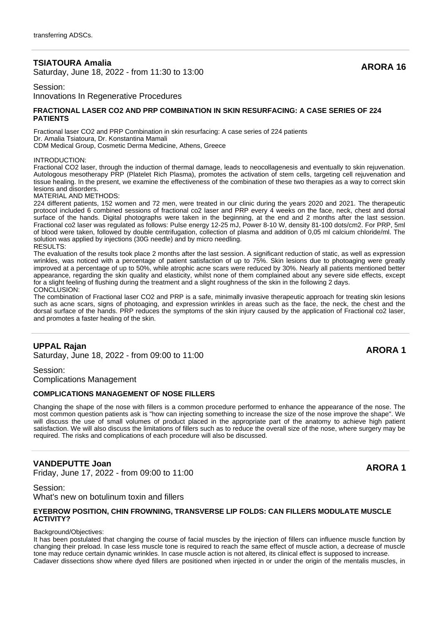# **TSIATOURA Amalia**

**SIATOURA Amalia**<br>Saturday, June 18, 2022 - from 11:30 to 13:00

Session:

Innovations In Regenerative Procedures

#### **FRACTIONAL LASER CO2 AND PRP COMBINATION IN SKIN RESURFACING: A CASE SERIES OF 224 PATIENTS**

Fractional laser CO2 and PRP Combination in skin resurfacing: A case series of 224 patients Dr. Amalia Tsiatoura, Dr. Konstantina Mamali CDM Medical Group, Cosmetic Derma Medicine, Athens, Greece

INTRODUCTION:

Fractional CO2 laser, through the induction of thermal damage, leads to neocollagenesis and eventually to skin rejuvenation. Autologous mesotherapy PRP (Platelet Rich Plasma), promotes the activation of stem cells, targeting cell rejuvenation and tissue healing. In the present, we examine the effectiveness of the combination of these two therapies as a way to correct skin lesions and disorders.

MATERIAL AND METHODS:

224 different patients, 152 women and 72 men, were treated in our clinic during the years 2020 and 2021. The therapeutic protocol included 6 combined sessions of fractional co2 laser and PRP every 4 weeks on the face, neck, chest and dorsal surface of the hands. Digital photographs were taken in the beginning, at the end and 2 months after the last session. Fractional co2 laser was regulated as follows: Pulse energy 12-25 mJ, Power 8-10 W, density 81-100 dots/cm2. For PRP, 5ml of blood were taken, followed by double centrifugation, collection of plasma and addition of 0,05 ml calcium chloride/ml. The solution was applied by injections (30G needle) and by micro needling. RESULTS:

The evaluation of the results took place 2 months after the last session. A significant reduction of static, as well as expression wrinkles, was noticed with a percentage of patient satisfaction of up to 75%. Skin lesions due to photoaging were greatly improved at a percentage of up to 50%, while atrophic acne scars were reduced by 30%. Nearly all patients mentioned better appearance, regarding the skin quality and elasticity, whilst none of them complained about any severe side effects, except for a slight feeling of flushing during the treatment and a slight roughness of the skin in the following 2 days. CONCLUSION:

The combination of Fractional laser CO2 and PRP is a safe, minimally invasive therapeutic approach for treating skin lesions such as acne scars, signs of photoaging, and expression wrinkles in areas such as the face, the neck, the chest and the dorsal surface of the hands. PRP reduces the symptoms of the skin injury caused by the application of Fractional co2 laser, and promotes a faster healing of the skin.

# **UPPAL Rajan**

**SATURE 18, 2023** - from 09:00 to 11:00<br>Saturday, June 18, 2022 - from 09:00 to 11:00

Session: Complications Management

#### **COMPLICATIONS MANAGEMENT OF NOSE FILLERS**

Changing the shape of the nose with fillers is a common procedure performed to enhance the appearance of the nose. The most common question patients ask is "how can injecting something to increase the size of the nose improve the shape". We will discuss the use of small volumes of product placed in the appropriate part of the anatomy to achieve high patient satisfaction. We will also discuss the limitations of fillers such as to reduce the overall size of the nose, where surgery may be required. The risks and complications of each procedure will also be discussed.

# **VANDEPUTTE Joan**

**FRIDE TO THE JOAN 11-100 STATE 100 ARORA 1**<br>Friday, June 17, 2022 - from 09:00 to 11:00

Session: What's new on botulinum toxin and fillers

#### **EYEBROW POSITION, CHIN FROWNING, TRANSVERSE LIP FOLDS: CAN FILLERS MODULATE MUSCLE ACTIVITY?**

#### Background/Objectives:

It has been postulated that changing the course of facial muscles by the injection of fillers can influence muscle function by changing their preload. In case less muscle tone is required to reach the same effect of muscle action, a decrease of muscle tone may reduce certain dynamic wrinkles. In case muscle action is not altered, its clinical effect is supposed to increase. Cadaver dissections show where dyed fillers are positioned when injected in or under the origin of the mentalis muscles, in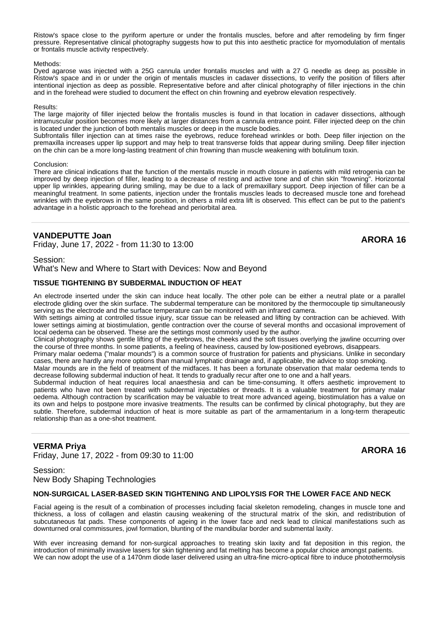Ristow's space close to the pyriform aperture or under the frontalis muscles, before and after remodeling by firm finger pressure. Representative clinical photography suggests how to put this into aesthetic practice for myomodulation of mentalis or frontalis muscle activity respectively.

#### Methods:

Dyed agarose was injected with a 25G cannula under frontalis muscles and with a 27 G needle as deep as possible in Ristow's space and in or under the origin of mentalis muscles in cadaver dissections, to verify the position of fillers after intentional injection as deep as possible. Representative before and after clinical photography of filler injections in the chin and in the forehead were studied to document the effect on chin frowning and eyebrow elevation respectively.

#### Results:

The large majority of filler injected below the frontalis muscles is found in that location in cadaver dissections, although intramuscular position becomes more likely at larger distances from a cannula entrance point. Filler injected deep on the chin is located under the junction of both mentalis muscles or deep in the muscle bodies.

Subfrontalis filler injection can at times raise the eyebrows, reduce forehead wrinkles or both. Deep filler injection on the premaxilla increases upper lip support and may help to treat transverse folds that appear during smiling. Deep filler injection on the chin can be a more long-lasting treatment of chin frowning than muscle weakening with botulinum toxin.

#### Conclusion:

There are clinical indications that the function of the mentalis muscle in mouth closure in patients with mild retrogenia can be improved by deep injection of filler, leading to a decrease of resting and active tone and of chin skin "frowning". Horizontal upper lip wrinkles, appearing during smiling, may be due to a lack of premaxillary support. Deep injection of filler can be a meaningful treatment. In some patients, injection under the frontalis muscles leads to decreased muscle tone and forehead wrinkles with the eyebrows in the same position, in others a mild extra lift is observed. This effect can be put to the patient's advantage in a holistic approach to the forehead and periorbital area.

# **VANDEPUTTE Joan**

**FRIDE 18 THE JOAN 11:30 TO 12:00** ARORA 16 ARORA 16 ARORA 16

# Session:

What's New and Where to Start with Devices: Now and Beyond

#### **TISSUE TIGHTENING BY SUBDERMAL INDUCTION OF HEAT**

An electrode inserted under the skin can induce heat locally. The other pole can be either a neutral plate or a parallel electrode gliding over the skin surface. The subdermal temperature can be monitored by the thermocouple tip simultaneously serving as the electrode and the surface temperature can be monitored with an infrared camera.

With settings aiming at controlled tissue injury, scar tissue can be released and lifting by contraction can be achieved. With lower settings aiming at biostimulation, gentle contraction over the course of several months and occasional improvement of local oedema can be observed. These are the settings most commonly used by the author.

Clinical photography shows gentle lifting of the eyebrows, the cheeks and the soft tissues overlying the jawline occurring over the course of three months. In some patients, a feeling of heaviness, caused by low-positioned eyebrows, disappears.

Primary malar oedema ("malar mounds") is a common source of frustration for patients and physicians. Unlike in secondary cases, there are hardly any more options than manual lymphatic drainage and, if applicable, the advice to stop smoking.

Malar mounds are in the field of treatment of the midfaces. It has been a fortunate observation that malar oedema tends to decrease following subdermal induction of heat. It tends to gradually recur after one to one and a half years.

Subdermal induction of heat requires local anaesthesia and can be time-consuming. It offers aesthetic improvement to patients who have not been treated with subdermal injectables or threads. It is a valuable treatment for primary malar oedema. Although contraction by scarification may be valuable to treat more advanced ageing, biostimulation has a value on its own and helps to postpone more invasive treatments. The results can be confirmed by clinical photography, but they are subtle. Therefore, subdermal induction of heat is more suitable as part of the armamentarium in a long-term therapeutic relationship than as a one-shot treatment.

# **VERMA Priya**

**FRIMA Priva**<br>Friday, June 17, 2022 - from 09:30 to 11:00

Session: New Body Shaping Technologies

#### **NON-SURGICAL LASER-BASED SKIN TIGHTENING AND LIPOLYSIS FOR THE LOWER FACE AND NECK**

Facial ageing is the result of a combination of processes including facial skeleton remodeling, changes in muscle tone and thickness, a loss of collagen and elastin causing weakening of the structural matrix of the skin, and redistribution of subcutaneous fat pads. These components of ageing in the lower face and neck lead to clinical manifestations such as downturned oral commissures, jowl formation, blunting of the mandibular border and submental laxity.

With ever increasing demand for non-surgical approaches to treating skin laxity and fat deposition in this region, the introduction of minimally invasive lasers for skin tightening and fat melting has become a popular choice amongst patients. We can now adopt the use of a 1470nm diode laser delivered using an ultra-fine micro-optical fibre to induce photothermolysis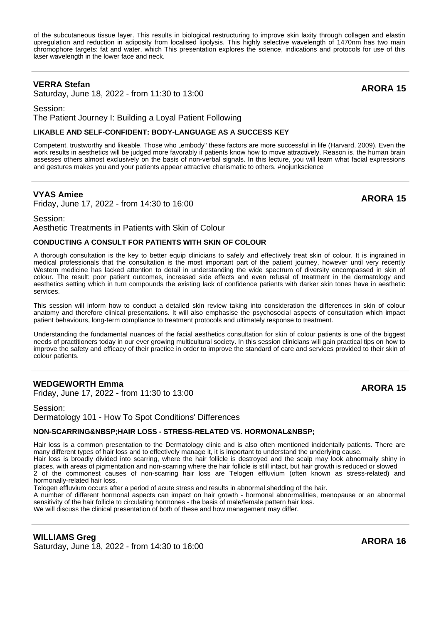of the subcutaneous tissue layer. This results in biological restructuring to improve skin laxity through collagen and elastin upregulation and reduction in adiposity from localised lipolysis. This highly selective wavelength of 1470nm has two main chromophore targets: fat and water, which This presentation explores the science, indications and protocols for use of this laser wavelength in the lower face and neck.

# **VERRA Stefan**

**VERRA Steran**<br>Saturday, June 18, 2022 - from 11:30 to 13:00

Session: The Patient Journey I: Building a Loyal Patient Following

# **LIKABLE AND SELF-CONFIDENT: BODY-LANGUAGE AS A SUCCESS KEY**

Competent, trustworthy and likeable. Those who "embody" these factors are more successful in life (Harvard, 2009). Even the work results in aesthetics will be judged more favorably if patients know how to move attractively. Reason is, the human brain assesses others almost exclusively on the basis of non-verbal signals. In this lecture, you will learn what facial expressions and gestures makes you and your patients appear attractive charismatic to others. #nojunkscience

# **VYAS Amiee**

Friday, June 17, 2022 - from 14:30 to 16:00 **ARORA 15**

# Session:

Aesthetic Treatments in Patients with Skin of Colour

#### **CONDUCTING A CONSULT FOR PATIENTS WITH SKIN OF COLOUR**

A thorough consultation is the key to better equip clinicians to safely and effectively treat skin of colour. It is ingrained in medical professionals that the consultation is the most important part of the patient journey, however until very recently Western medicine has lacked attention to detail in understanding the wide spectrum of diversity encompassed in skin of colour. The result: poor patient outcomes, increased side effects and even refusal of treatment in the dermatology and aesthetics setting which in turn compounds the existing lack of confidence patients with darker skin tones have in aesthetic services.

This session will inform how to conduct a detailed skin review taking into consideration the differences in skin of colour anatomy and therefore clinical presentations. It will also emphasise the psychosocial aspects of consultation which impact patient behaviours, long-term compliance to treatment protocols and ultimately response to treatment.

Understanding the fundamental nuances of the facial aesthetics consultation for skin of colour patients is one of the biggest needs of practitioners today in our ever growing multicultural society. In this session clinicians will gain practical tips on how to improve the safety and efficacy of their practice in order to improve the standard of care and services provided to their skin of colour patients.

# **WEDGEWORTH Emma**

**FRIDAGEWORTH EMMANUE CONTROLLER IN THE SERVICE OF ARTICLE ARORA 15**<br>Friday, June 17, 2022 - from 11:30 to 13:00

Session: Dermatology 101 - How To Spot Conditions' Differences

# **NON-SCARRING&NBSP:HAIR LOSS - STRESS-RELATED VS. HORMONAL&NBSP:**

Hair loss is a common presentation to the Dermatology clinic and is also often mentioned incidentally patients. There are many different types of hair loss and to effectively manage it, it is important to understand the underlying cause.

Hair loss is broadly divided into scarring, where the hair follicle is destroyed and the scalp may look abnormally shiny in places, with areas of pigmentation and non-scarring where the hair follicle is still intact, but hair growth is reduced or slowed

2 of the commonest causes of non-scarring hair loss are Telogen effluvium (often known as stress-related) and hormonally-related hair loss.

Telogen effluvium occurs after a period of acute stress and results in abnormal shedding of the hair.

A number of different hormonal aspects can impact on hair growth - hormonal abnormalities, menopause or an abnormal sensitivity of the hair follicle to circulating hormones - the basis of male/female pattern hair loss.

We will discuss the clinical presentation of both of these and how management may differ.